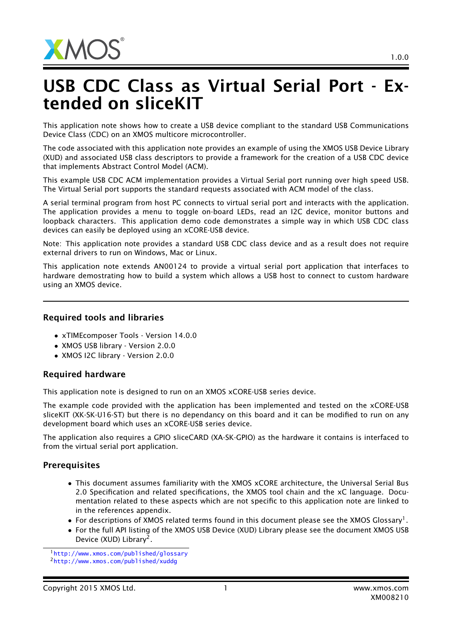

## USB CDC Class as Virtual Serial Port - Extended on sliceKIT

This application note shows how to create a USB device compliant to the standard USB Communications Device Class (CDC) on an XMOS multicore microcontroller.

The code associated with this application note provides an example of using the XMOS USB Device Library (XUD) and associated USB class descriptors to provide a framework for the creation of a USB CDC device that implements Abstract Control Model (ACM).

This example USB CDC ACM implementation provides a Virtual Serial port running over high speed USB. The Virtual Serial port supports the standard requests associated with ACM model of the class.

A serial terminal program from host PC connects to virtual serial port and interacts with the application. The application provides a menu to toggle on-board LEDs, read an I2C device, monitor buttons and loopback characters. This application demo code demonstrates a simple way in which USB CDC class devices can easily be deployed using an xCORE-USB device.

Note: This application note provides a standard USB CDC class device and as a result does not require external drivers to run on Windows, Mac or Linux.

This application note extends AN00124 to provide a virtual serial port application that interfaces to hardware demostrating how to build a system which allows a USB host to connect to custom hardware using an XMOS device.

## Required tools and libraries

- xTIMEcomposer Tools Version 14.0.0
- XMOS USB library Version 2.0.0
- XMOS I2C library Version 2.0.0

## Required hardware

This application note is designed to run on an XMOS xCORE-USB series device.

The example code provided with the application has been implemented and tested on the xCORE-USB sliceKIT (XK-SK-U16-ST) but there is no dependancy on this board and it can be modified to run on any development board which uses an xCORE-USB series device.

The application also requires a GPIO sliceCARD (XA-SK-GPIO) as the hardware it contains is interfaced to from the virtual serial port application.

## **Prerequisites**

- This document assumes familiarity with the XMOS xCORE architecture, the Universal Serial Bus 2.0 Specification and related specifications, the XMOS tool chain and the xC language. Documentation related to these aspects which are not specific to this application note are linked to in the references appendix.
- $\bullet$  For descriptions of XMOS related terms found in this document please see the XMOS Glossary<sup>1</sup>.
- For the full API listing of the XMOS USB Device (XUD) Library please see the document XMOS USB Device (XUD) Library<sup>2</sup>.

<sup>1</sup><http://www.xmos.com/published/glossary>

<sup>2</sup><http://www.xmos.com/published/xuddg>